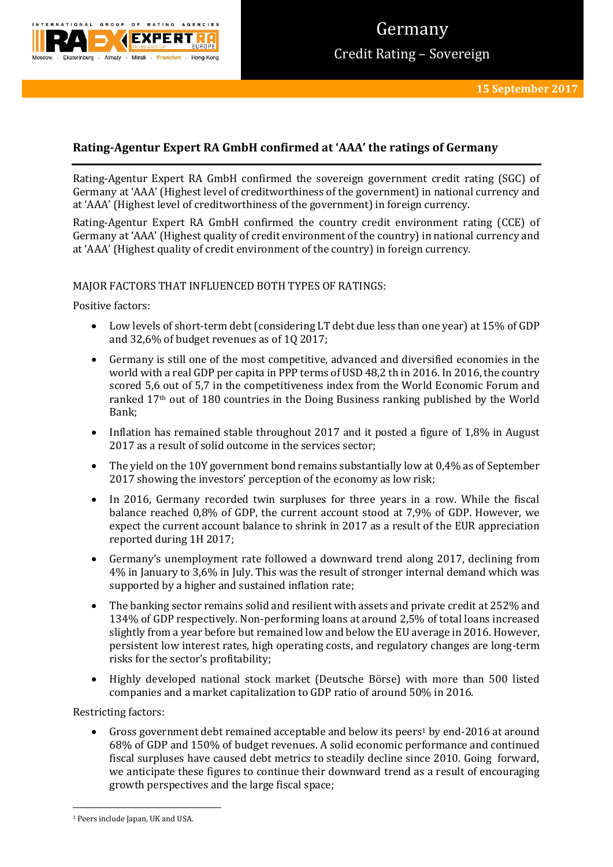

# **Rating-Agentur Expert RA GmbH confirmed at 'AAA' the ratings of Germany**

Rating-Agentur Expert RA GmbH confirmed the sovereign government credit rating (SGC) of Germany at 'AAA' (Highest level of creditworthiness of the government) in national currency and at 'AAA' (Highest level of creditworthiness of the government) in foreign currency.

Rating-Agentur Expert RA GmbH confirmed the country credit environment rating (CCE) of Germany at 'AAA' (Highest quality of credit environment of the country) in national currency and at 'AAA' (Highest quality of credit environment of the country) in foreign currency.

# MAJOR FACTORS THAT INFLUENCED BOTH TYPES OF RATINGS:

Positive factors:

- Low levels of short-term debt (considering LT debt due less than one year) at 15% of GDP and 32,6% of budget revenues as of 1Q 2017;
- Germany is still one of the most competitive, advanced and diversified economies in the world with a real GDP per capita in PPP terms of USD 48,2 th in 2016. In 2016, the country scored 5,6 out of 5,7 in the competitiveness index from the World Economic Forum and ranked 17th out of 180 countries in the Doing Business ranking published by the World Bank;
- Inflation has remained stable throughout 2017 and it posted a figure of 1,8% in August 2017 as a result of solid outcome in the services sector;
- The yield on the 10Y government bond remains substantially low at 0,4% as of September 2017 showing the investors' perception of the economy as low risk;
- In 2016, Germany recorded twin surpluses for three years in a row. While the fiscal balance reached 0,8% of GDP, the current account stood at 7,9% of GDP. However, we expect the current account balance to shrink in 2017 as a result of the EUR appreciation reported during 1H 2017;
- Germany's unemployment rate followed a downward trend along 2017, declining from 4% in January to 3,6% in July. This was the result of stronger internal demand which was supported by a higher and sustained inflation rate;
- The banking sector remains solid and resilient with assets and private credit at 252% and 134% of GDP respectively. Non-performing loans at around 2,5% of total loans increased slightly from a year before but remained low and below the EU average in 2016. However, persistent low interest rates, high operating costs, and regulatory changes are long-term risks for the sector's profitability;
- Highly developed national stock market (Deutsche Börse) with more than 500 listed companies and a market capitalization to GDP ratio of around 50% in 2016.

Restricting factors:

Gross government debt remained acceptable and below its peers<sup>1</sup> by end-2016 at around 68% of GDP and 150% of budget revenues. A solid economic performance and continued fiscal surpluses have caused debt metrics to steadily decline since 2010. Going forward, we anticipate these figures to continue their downward trend as a result of encouraging growth perspectives and the large fiscal space;

**.** 

<sup>&</sup>lt;sup>1</sup> Peers include Japan, UK and USA.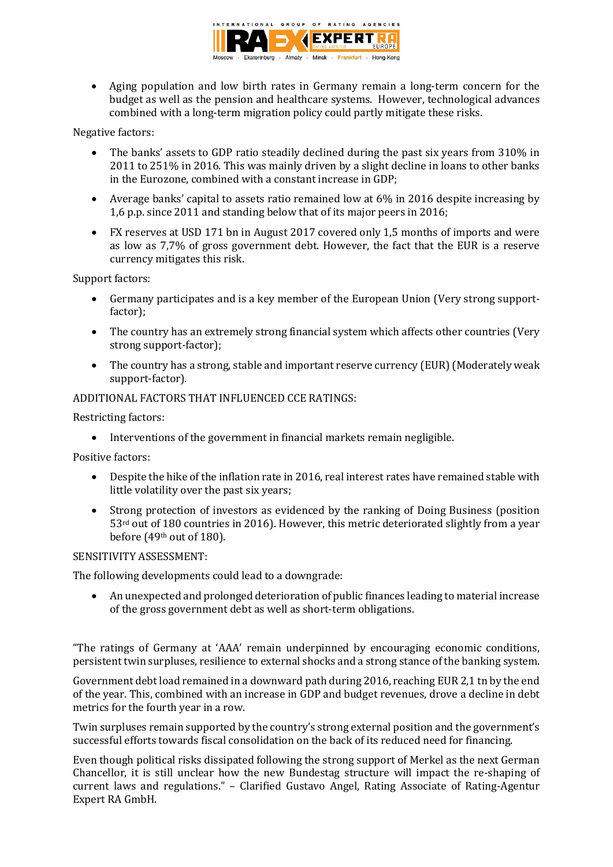

 Aging population and low birth rates in Germany remain a long-term concern for the budget as well as the pension and healthcare systems. However, technological advances combined with a long-term migration policy could partly mitigate these risks.

Negative factors:

- The banks' assets to GDP ratio steadily declined during the past six years from 310% in 2011 to 251% in 2016. This was mainly driven by a slight decline in loans to other banks in the Eurozone, combined with a constant increase in GDP;
- Average banks' capital to assets ratio remained low at 6% in 2016 despite increasing by 1,6 p.p. since 2011 and standing below that of its major peers in 2016;
- FX reserves at USD 171 bn in August 2017 covered only 1,5 months of imports and were as low as 7,7% of gross government debt. However, the fact that the EUR is a reserve currency mitigates this risk.

Support factors:

- Germany participates and is a key member of the European Union (Very strong supportfactor);
- The country has an extremely strong financial system which affects other countries (Very strong support-factor);
- The country has a strong, stable and important reserve currency (EUR) (Moderately weak support-factor).

ADDITIONAL FACTORS THAT INFLUENCED CCE RATINGS:

Restricting factors:

Interventions of the government in financial markets remain negligible.

Positive factors:

- Despite the hike of the inflation rate in 2016, real interest rates have remained stable with little volatility over the past six years;
- Strong protection of investors as evidenced by the ranking of Doing Business (position 53rd out of 180 countries in 2016). However, this metric deteriorated slightly from a year before (49th out of 180).

# SENSITIVITY ASSESSMENT:

The following developments could lead to a downgrade:

 An unexpected and prolonged deterioration of public finances leading to material increase of the gross government debt as well as short-term obligations.

"The ratings of Germany at 'AAA' remain underpinned by encouraging economic conditions, persistent twin surpluses, resilience to external shocks and a strong stance of the banking system.

Government debt load remained in a downward path during 2016, reaching EUR 2,1 tn by the end of the year. This, combined with an increase in GDP and budget revenues, drove a decline in debt metrics for the fourth year in a row.

Twin surpluses remain supported by the country's strong external position and the government's successful efforts towards fiscal consolidation on the back of its reduced need for financing.

Even though political risks dissipated following the strong support of Merkel as the next German Chancellor, it is still unclear how the new Bundestag structure will impact the re-shaping of current laws and regulations." – Clarified Gustavo Angel, Rating Associate of Rating-Agentur Expert RA GmbH.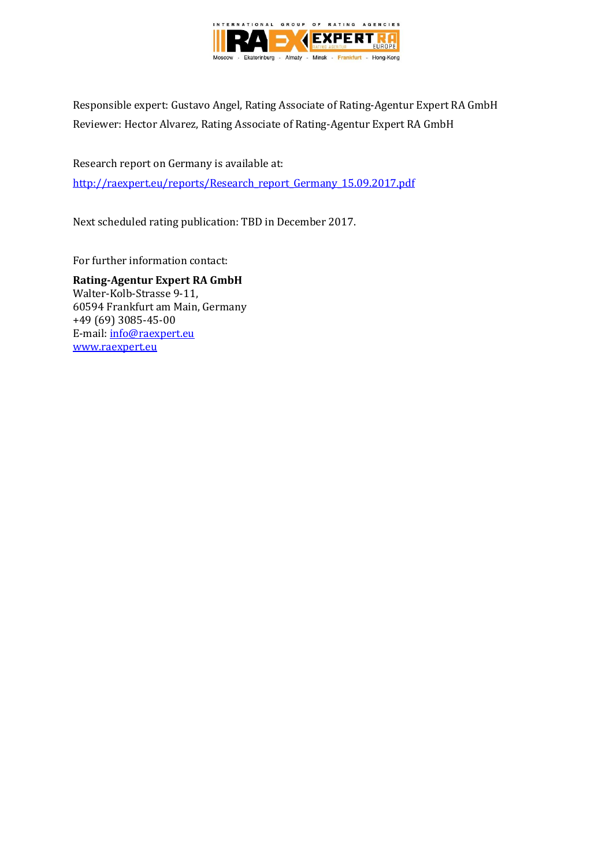

Responsible expert: Gustavo Angel, Rating Associate of Rating-Agentur Expert RA GmbH Reviewer: Hector Alvarez, Rating Associate of Rating-Agentur Expert RA GmbH

Research report on Germany is available at: [http://raexpert.eu/reports/Research\\_report\\_Germany\\_15.09.2017.pdf](http://raexpert.eu/reports/Research_report_Germany_15.09.2017.pdf)

Next scheduled rating publication: TBD in December 2017.

For further information contact:

**Rating-Agentur Expert RA GmbH** Walter-Kolb-Strasse 9-11, 60594 Frankfurt am Main, Germany +49 (69) 3085-45-00 E-mail[: info@raexpert.eu](mailto:info@raexpert.eu) [www.raexpert.eu](http://raexpert.eu/)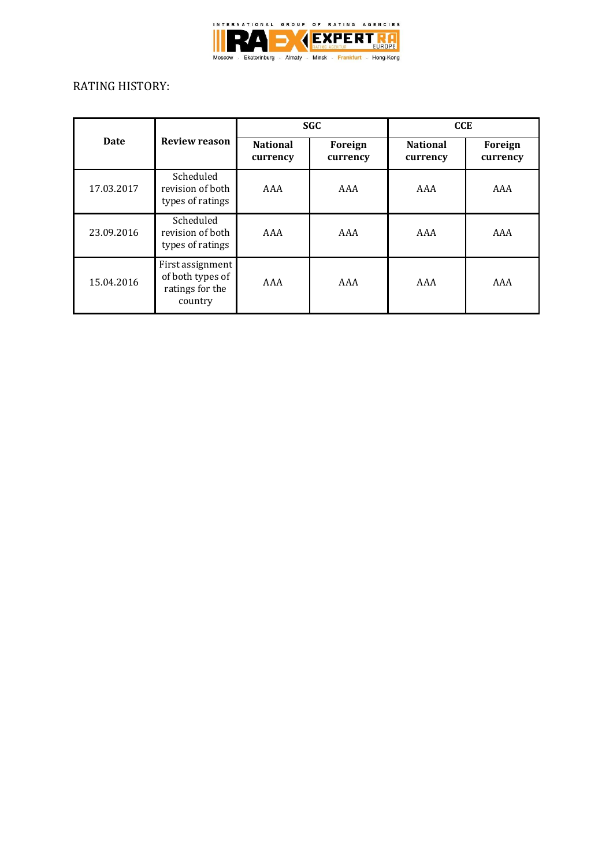

# RATING HISTORY:

| <b>Date</b> | <b>Review reason</b>                                               | <b>SGC</b>                  |                     | <b>CCE</b>                  |                     |
|-------------|--------------------------------------------------------------------|-----------------------------|---------------------|-----------------------------|---------------------|
|             |                                                                    | <b>National</b><br>currency | Foreign<br>currency | <b>National</b><br>currency | Foreign<br>currency |
| 17.03.2017  | Scheduled<br>revision of both<br>types of ratings                  | AAA                         | AAA                 | AAA                         | AAA                 |
| 23.09.2016  | Scheduled<br>revision of both<br>types of ratings                  | AAA                         | AAA                 | AAA                         | AAA                 |
| 15.04.2016  | First assignment<br>of both types of<br>ratings for the<br>country | AAA                         | AAA                 | AAA                         | AAA                 |